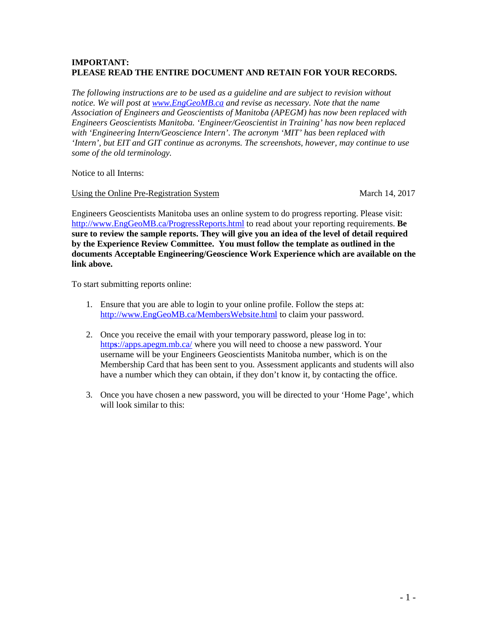## **IMPORTANT: PLEASE READ THE ENTIRE DOCUMENT AND RETAIN FOR YOUR RECORDS.**

*The following instructions are to be used as a guideline and are subject to revision without notice. We will post at [www.EngGeoMB.ca](http://www.enggeomb.ca/) and revise as necessary. Note that the name Association of Engineers and Geoscientists of Manitoba (APEGM) has now been replaced with Engineers Geoscientists Manitoba. 'Engineer/Geoscientist in Training' has now been replaced with 'Engineering Intern/Geoscience Intern'. The acronym 'MIT' has been replaced with 'Intern', but EIT and GIT continue as acronyms. The screenshots, however, may continue to use some of the old terminology.* 

Notice to all Interns:

Using the Online Pre-Registration System March 14, 2017

Engineers Geoscientists Manitoba uses an online system to do progress reporting. Please visit: [http://www.EngGeoMB.ca/ProgressReports.html](http://www.enggeomb.ca/ProgressReports.html) to read about your reporting requirements. **Be sure to review the sample reports. They will give you an idea of the level of detail required by the Experience Review Committee. You must follow the template as outlined in the documents Acceptable Engineering/Geoscience Work Experience which are available on the link above.**

To start submitting reports online:

- 1. Ensure that you are able to login to your online profile. Follow the steps at: [http://www.EngGeoMB.ca/MembersWebsite.html](http://www.enggeomb.ca/MembersWebsite.html) to claim your password.
- 2. Once you receive the email with your temporary password, please log in to: http**s**[://apps.apegm.mb.ca/](https://apps.apegm.mb.ca/) where you will need to choose a new password. Your username will be your Engineers Geoscientists Manitoba number, which is on the Membership Card that has been sent to you. Assessment applicants and students will also have a number which they can obtain, if they don't know it, by contacting the office.
- 3. Once you have chosen a new password, you will be directed to your 'Home Page', which will look similar to this: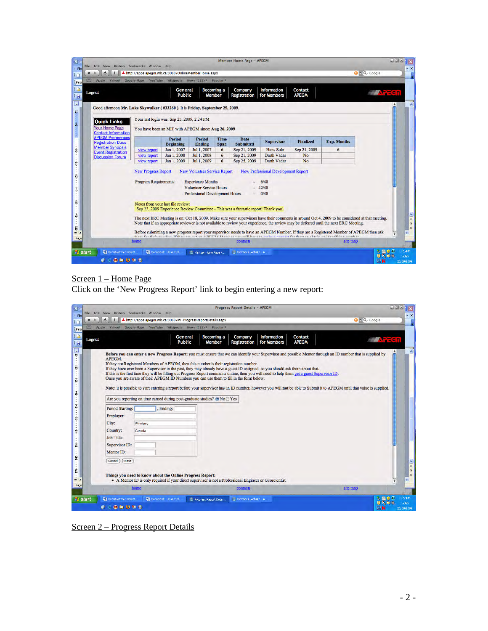|                                                                               | Google Maps YouTube Wikipedia News (122) v          | General                           |                                                                                                     | Popular <sup>®</sup><br><b>Becoming a</b> | Company                                                                            | <b>Information</b>         | Contact          |                                                                                                                                                                                                                                                                                             |                       |
|-------------------------------------------------------------------------------|-----------------------------------------------------|-----------------------------------|-----------------------------------------------------------------------------------------------------|-------------------------------------------|------------------------------------------------------------------------------------|----------------------------|------------------|---------------------------------------------------------------------------------------------------------------------------------------------------------------------------------------------------------------------------------------------------------------------------------------------|-----------------------|
| Logout                                                                        |                                                     | <b>Public</b>                     |                                                                                                     | Member                                    | Registration                                                                       | for Members                | <b>APEGM</b>     |                                                                                                                                                                                                                                                                                             | $\epsilon$ $\epsilon$ |
| Good afternoon Mr. Luke Skywalker (#33260). It is Friday, September 25, 2009. |                                                     |                                   |                                                                                                     |                                           |                                                                                    |                            |                  |                                                                                                                                                                                                                                                                                             |                       |
| <b>Quick Links</b>                                                            | Your last login was: Sep 25, 2009, 2:24 PM          |                                   |                                                                                                     |                                           |                                                                                    |                            |                  |                                                                                                                                                                                                                                                                                             |                       |
| <b>Your Home Page</b><br><b>Contact Information</b>                           | You have been an MIT with APEGM since: Aug 26, 2009 |                                   |                                                                                                     |                                           |                                                                                    |                            |                  |                                                                                                                                                                                                                                                                                             |                       |
| <b>APEGM Preferences</b><br><b>Registration Dues</b>                          |                                                     | <b>Period</b><br><b>Beginning</b> | <b>Period</b><br><b>Ending</b>                                                                      | Time<br><b>Span</b>                       | Date<br><b>Submitted</b>                                                           | <b>Supervisor</b>          | <b>Finalized</b> | <b>Exp. Months</b>                                                                                                                                                                                                                                                                          |                       |
| <b>Member Synopsis</b><br><b>Event Registration</b>                           | view report                                         | Jan 1, 2007                       | Jul 1, 2007                                                                                         | 6                                         | Sep 21, 2009                                                                       | <b>Hans Solo</b>           | Sep 21, 2009     | 6                                                                                                                                                                                                                                                                                           |                       |
| <b>Discussion Forum</b>                                                       | view report                                         | Jan 1, 2008<br>Jan 1, 2009        | Jul 1, 2008<br>Jul 1, 2009                                                                          | 6<br>6                                    | Sep 21, 2009<br>Sep 25, 2009                                                       | Darth Vadar<br>Darth Vadar | No<br>No         |                                                                                                                                                                                                                                                                                             |                       |
|                                                                               | <b>Program Requirements:</b>                        | Notes from your last file review: | <b>Experience Months</b><br><b>Volunteer Service Hours</b><br><b>Professional Development Hours</b> |                                           | Sep 23, 2009 Experience Review Committee - This was a fantastic report! Thank you! | 6/48<br>42/48<br>$-0/48$   |                  |                                                                                                                                                                                                                                                                                             |                       |
|                                                                               |                                                     |                                   |                                                                                                     |                                           |                                                                                    |                            |                  | The next ERC Meeting is on: Oct 18, 2009. Make sure your supervisors have their comments in around Oct 4, 2009 to be considered at that meeting.<br>Note that if an appropriate reviewer is not available to review your experience, the review may be deferred until the next ERC Meeting. |                       |

# Screen 1 – Home Page

Click on the 'New Progress Report' link to begin entering a new report:

| File Edit View History Bookmarks Window Help   |                                                                                             | <b>Progress Report Details - APECM</b>                                                                                                                                                                                                                                                                                |                                                                                                                                                                                                                                                                                                                                                                                                                                                                                              | $\Box$ $\Box$ $\times$                                                            |
|------------------------------------------------|---------------------------------------------------------------------------------------------|-----------------------------------------------------------------------------------------------------------------------------------------------------------------------------------------------------------------------------------------------------------------------------------------------------------------------|----------------------------------------------------------------------------------------------------------------------------------------------------------------------------------------------------------------------------------------------------------------------------------------------------------------------------------------------------------------------------------------------------------------------------------------------------------------------------------------------|-----------------------------------------------------------------------------------|
| c<br>$\pm$<br>$\blacktriangleleft$             | A http://apps.apegm.mb.ca:8080/MITProgressReportDetails.aspx                                |                                                                                                                                                                                                                                                                                                                       |                                                                                                                                                                                                                                                                                                                                                                                                                                                                                              | $Q - Google$                                                                      |
| $\infty$<br>Apple<br>Yahoo!                    | Google Maps YouTube Wikipedia News (122)                                                    | Popular <sup>*</sup>                                                                                                                                                                                                                                                                                                  |                                                                                                                                                                                                                                                                                                                                                                                                                                                                                              |                                                                                   |
| Logout                                         | General<br><b>Public</b>                                                                    | <b>Becoming a</b><br>Company<br><b>Registration</b><br>Member                                                                                                                                                                                                                                                         | <b>Information</b><br>Contact<br><b>APEGM</b><br>for Members                                                                                                                                                                                                                                                                                                                                                                                                                                 | <b>上人下Sn</b>                                                                      |
| APEGM.                                         | Are you reporting on time earned during post-graduate studies? $\bigcirc$ No $\bigcirc$ Yes | If they are Registered Members of APEGM, then this number is their registration number.<br>If they have ever been a Supervisor in the past, they may already have a guest ID assigned, so you should ask them about that.<br>Once you are aware of their APEGM ID Numbers you can use them to fill in the form below. | Before you can enter a new Progress Report: you must ensure that we can identify your Supervisor and possible Mentor through an ID number that is supplied by<br>If this is the first time they will be filling out Progress Report comments online, then you will need to help them get a guest Supervisor ID.<br>Note: it is possible to start entering a report before your supervisor has an ID number, however you will not be able to Submit it to APEGM until that value is supplied. |                                                                                   |
|                                                |                                                                                             |                                                                                                                                                                                                                                                                                                                       |                                                                                                                                                                                                                                                                                                                                                                                                                                                                                              |                                                                                   |
| <b>Period Starting:</b>                        | , Ending:                                                                                   |                                                                                                                                                                                                                                                                                                                       |                                                                                                                                                                                                                                                                                                                                                                                                                                                                                              |                                                                                   |
| Employer:                                      |                                                                                             |                                                                                                                                                                                                                                                                                                                       |                                                                                                                                                                                                                                                                                                                                                                                                                                                                                              |                                                                                   |
| City:                                          | Winnipeg                                                                                    |                                                                                                                                                                                                                                                                                                                       |                                                                                                                                                                                                                                                                                                                                                                                                                                                                                              |                                                                                   |
| Country:                                       | Canada                                                                                      |                                                                                                                                                                                                                                                                                                                       |                                                                                                                                                                                                                                                                                                                                                                                                                                                                                              |                                                                                   |
| <b>Job Title:</b>                              |                                                                                             |                                                                                                                                                                                                                                                                                                                       |                                                                                                                                                                                                                                                                                                                                                                                                                                                                                              |                                                                                   |
| Supervisor ID:                                 |                                                                                             |                                                                                                                                                                                                                                                                                                                       |                                                                                                                                                                                                                                                                                                                                                                                                                                                                                              |                                                                                   |
| Mentor ID:                                     |                                                                                             |                                                                                                                                                                                                                                                                                                                       |                                                                                                                                                                                                                                                                                                                                                                                                                                                                                              |                                                                                   |
| Next<br>Cancel                                 | Things you need to know about the Online Progress Report:                                   | • A Mentor ID is only required if your direct supervisor is not a Professional Engineer or Geoscientist.                                                                                                                                                                                                              |                                                                                                                                                                                                                                                                                                                                                                                                                                                                                              |                                                                                   |
|                                                | home                                                                                        | contacts                                                                                                                                                                                                                                                                                                              |                                                                                                                                                                                                                                                                                                                                                                                                                                                                                              | site map                                                                          |
| <b><i>Fi</i></b> start<br>Registration Committ | Document1 - Microsof                                                                        | Members Website - A<br>Progress Report Deta                                                                                                                                                                                                                                                                           |                                                                                                                                                                                                                                                                                                                                                                                                                                                                                              | 3:27 PM<br>6600                                                                   |
| 0.500000                                       |                                                                                             |                                                                                                                                                                                                                                                                                                                       |                                                                                                                                                                                                                                                                                                                                                                                                                                                                                              | $\blacksquare$ $\blacksquare$ $\blacksquare$<br>Friday<br><b>EN</b><br>25/09/2009 |

Screen 2 – Progress Report Details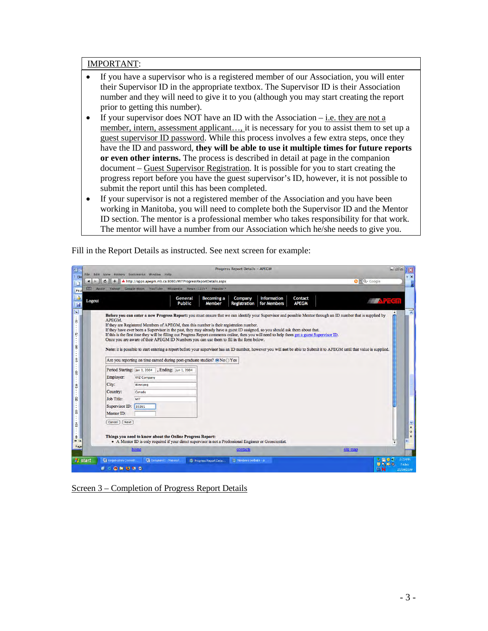#### IMPORTANT:

- If you have a supervisor who is a registered member of our Association, you will enter their Supervisor ID in the appropriate textbox. The Supervisor ID is their Association number and they will need to give it to you (although you may start creating the report prior to getting this number).
- If your supervisor does NOT have an ID with the Association  $-$  i.e. they are not a member, intern, assessment applicant…, it is necessary for you to assist them to set up a guest supervisor ID password. While this process involves a few extra steps, once they have the ID and password, **they will be able to use it multiple times for future reports or even other interns.** The process is described in detail at page in the companion document – Guest Supervisor Registration. It is possible for you to start creating the progress report before you have the guest supervisor's ID, however, it is not possible to submit the report until this has been completed.
- If your supervisor is not a registered member of the Association and you have been working in Manitoba, you will need to complete both the Supervisor ID and the Mentor ID section. The mentor is a professional member who takes responsibility for that work. The mentor will have a number from our Association which he/she needs to give you.



Fill in the Report Details as instructed. See next screen for example:

Screen 3 – Completion of Progress Report Details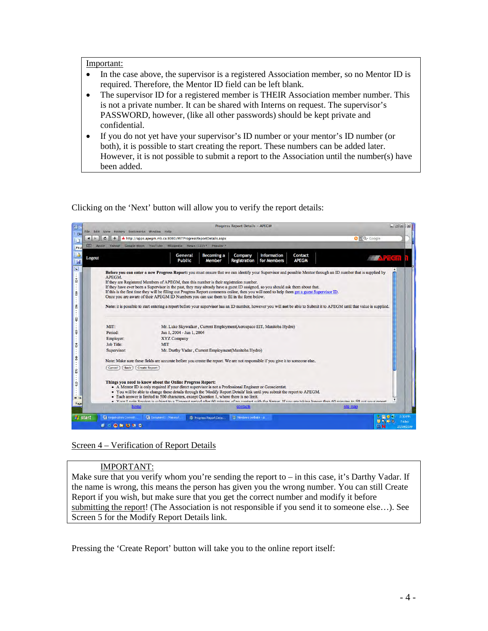#### Important:

- In the case above, the supervisor is a registered Association member, so no Mentor ID is required. Therefore, the Mentor ID field can be left blank.
- The supervisor ID for a registered member is THEIR Association member number. This is not a private number. It can be shared with Interns on request. The supervisor's PASSWORD, however, (like all other passwords) should be kept private and confidential.
- If you do not yet have your supervisor's ID number or your mentor's ID number (or both), it is possible to start creating the report. These numbers can be added later. However, it is not possible to submit a report to the Association until the number(s) have been added.

Clicking on the 'Next' button will allow you to verify the report details:

| $\infty$<br>Apple<br>Yahoo! | A http://apps.apegm.mb.ca:8080/MITProgressReportDetails.aspx<br>Google Maps YouTube Wikipedia News (122) ™ Popular ™                                                                                                                                                                                                                                                                                                                                                                                                                                                                                                                                                                                                                                                                                                  | $Q - \frac{1}{2}$ Coogle |
|-----------------------------|-----------------------------------------------------------------------------------------------------------------------------------------------------------------------------------------------------------------------------------------------------------------------------------------------------------------------------------------------------------------------------------------------------------------------------------------------------------------------------------------------------------------------------------------------------------------------------------------------------------------------------------------------------------------------------------------------------------------------------------------------------------------------------------------------------------------------|--------------------------|
| Logout                      | <b>Becoming a</b><br><b>Information</b><br>General<br>Company<br>Contact<br><b>Public</b><br><b>APEGM</b><br>for Members<br>Member<br><b>Registration</b>                                                                                                                                                                                                                                                                                                                                                                                                                                                                                                                                                                                                                                                             | <b>EXTEGN</b>            |
| APEGM.                      | Before you can enter a new Progress Report: you must ensure that we can identify your Supervisor and possible Mentor through an ID number that is supplied by<br>If they are Registered Members of APEGM, then this number is their registration number.<br>If they have ever been a Supervisor in the past, they may already have a guest ID assigned, so you should ask them about that.<br>If this is the first time they will be filling out Progress Report comments online, then you will need to help them get a guest Supervisor ID,<br>Once you are aware of their APEGM ID Numbers you can use them to fill in the form below.<br>Note: it is possible to start entering a report before your supervisor has an ID number, however you will not be able to Submit it to APEGM until that value is supplied. |                          |
|                             |                                                                                                                                                                                                                                                                                                                                                                                                                                                                                                                                                                                                                                                                                                                                                                                                                       |                          |
|                             |                                                                                                                                                                                                                                                                                                                                                                                                                                                                                                                                                                                                                                                                                                                                                                                                                       |                          |
| MIT:                        | Mr. Luke Skywalker, Current Employment(Aerospace EIT, Manitoba Hydro)                                                                                                                                                                                                                                                                                                                                                                                                                                                                                                                                                                                                                                                                                                                                                 |                          |
| Period:                     | Jan 1, 2004 - Jun 1, 2004                                                                                                                                                                                                                                                                                                                                                                                                                                                                                                                                                                                                                                                                                                                                                                                             |                          |
| Employer:                   | <b>XYZ Company</b>                                                                                                                                                                                                                                                                                                                                                                                                                                                                                                                                                                                                                                                                                                                                                                                                    |                          |
| Job Title:                  | <b>MIT</b>                                                                                                                                                                                                                                                                                                                                                                                                                                                                                                                                                                                                                                                                                                                                                                                                            |                          |
| Supervisor:                 | Mr. Darthy Vadar, Current Employment(Manitoba Hydro)                                                                                                                                                                                                                                                                                                                                                                                                                                                                                                                                                                                                                                                                                                                                                                  |                          |
|                             | Note: Make sure these fields are accurate before you create the report. We are not responsible if you give it to someone else                                                                                                                                                                                                                                                                                                                                                                                                                                                                                                                                                                                                                                                                                         |                          |
| Cancel<br><b>Back</b>       | <b>Create Report</b>                                                                                                                                                                                                                                                                                                                                                                                                                                                                                                                                                                                                                                                                                                                                                                                                  |                          |
|                             | Things you need to know about the Online Progress Report:<br>• A Mentor ID is only required if your direct supervisor is not a Professional Engineer or Geoscientist.<br>. You will be able to change these details through the 'Modify Report Details' link until you submit the report to APEGM.<br>• Each answer is limited to 500 characters, except Ouestion 1, where there is no limit.<br>Nour I agin Seccion is subject to a Timeout negiod after 60 minutes of no contact with the Secuer. If you are taking longer than 60 minutes to fill out your renort                                                                                                                                                                                                                                                  |                          |

### Screen 4 – Verification of Report Details

### IMPORTANT:

Make sure that you verify whom you're sending the report to  $-$  in this case, it's Darthy Vadar. If the name is wrong, this means the person has given you the wrong number. You can still Create Report if you wish, but make sure that you get the correct number and modify it before submitting the report! (The Association is not responsible if you send it to someone else…). See Screen 5 for the Modify Report Details link.

Pressing the 'Create Report' button will take you to the online report itself: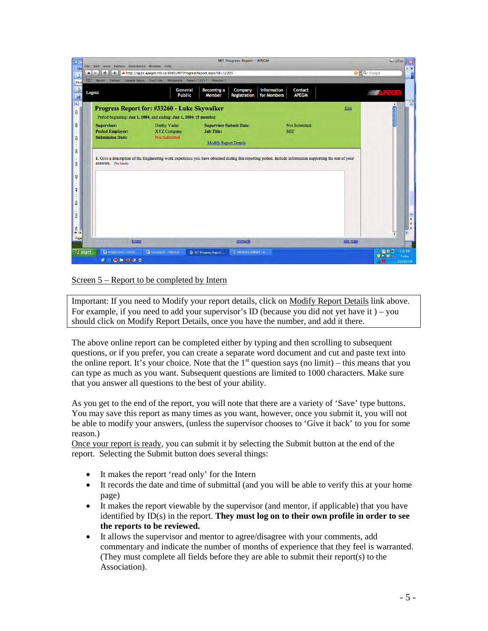| File Edit View History Bookmarks Window Help |                                                                    | <b>MIT Progress Report - APEGM</b>                                                                                                                       |                                                              |          | <b>DOX</b>                               |
|----------------------------------------------|--------------------------------------------------------------------|----------------------------------------------------------------------------------------------------------------------------------------------------------|--------------------------------------------------------------|----------|------------------------------------------|
| ¢<br>$\blacktriangleleft$<br>÷               | A http://apps.apegm.mb.ca:8080/MITProgressReport.aspx?id=12205     |                                                                                                                                                          |                                                              |          | $Q - Google$                             |
| $\infty$<br>Apple                            | Yahoo! Google Maps YouTube Wikipedia News (122) * Popular *        |                                                                                                                                                          |                                                              |          |                                          |
| Logout                                       | General<br><b>Public</b>                                           | <b>Becoming a</b><br>Company<br>Member<br>Registration                                                                                                   | <b>Information</b><br>Contact<br>for Members<br><b>APEGM</b> |          | <i>量 大</i> 卡Sn                           |
|                                              | <b>Progress Report for: #33260 - Luke Skywalker</b>                |                                                                                                                                                          |                                                              | Exit     |                                          |
|                                              | Period beginning: Jan 1, 2004, and ending: Jun 1, 2004. (5 months) |                                                                                                                                                          |                                                              |          |                                          |
| <b>Supervisor:</b>                           | Darthy Vadar                                                       | <b>Supervisor Submit Date:</b>                                                                                                                           | <b>Not Submitted</b>                                         |          |                                          |
| <b>Period Employer:</b>                      | <b>XYZ Company</b>                                                 | <b>Job Title:</b>                                                                                                                                        | <b>MIT</b>                                                   |          |                                          |
| <b>Submission Date:</b>                      | <b>Not Submitted</b>                                               |                                                                                                                                                          |                                                              |          |                                          |
|                                              |                                                                    | <b>Modify Report Details</b>                                                                                                                             |                                                              |          |                                          |
| answers. (No limit)                          |                                                                    | 1. Give a description of the Engineering work experience you have obtained during this reporting period. Include information supporting the rest of your |                                                              |          |                                          |
|                                              |                                                                    |                                                                                                                                                          |                                                              |          |                                          |
| home                                         |                                                                    | contacts                                                                                                                                                 |                                                              | site map | ▼                                        |
| <b>B</b> start<br>Registration Commit        | Document1 - Microsof                                               | Members Website - A<br>MIT Progress Report                                                                                                               |                                                              |          | 3:31 PM<br>$B = 00$<br>100<br><b>UDA</b> |

### Screen 5 – Report to be completed by Intern

Important: If you need to Modify your report details, click on Modify Report Details link above. For example, if you need to add your supervisor's ID (because you did not yet have it) – you should click on Modify Report Details, once you have the number, and add it there.

The above online report can be completed either by typing and then scrolling to subsequent questions, or if you prefer, you can create a separate word document and cut and paste text into the online report. It's your choice. Note that the  $1<sup>st</sup>$  question says (no limit) – this means that you can type as much as you want. Subsequent questions are limited to 1000 characters. Make sure that you answer all questions to the best of your ability.

As you get to the end of the report, you will note that there are a variety of 'Save' type buttons. You may save this report as many times as you want, however, once you submit it, you will not be able to modify your answers, (unless the supervisor chooses to 'Give it back' to you for some reason.)

Once your report is ready, you can submit it by selecting the Submit button at the end of the report. Selecting the Submit button does several things:

- It makes the report 'read only' for the Intern
- It records the date and time of submittal (and you will be able to verify this at your home page)
- It makes the report viewable by the supervisor (and mentor, if applicable) that you have identified by ID(s) in the report. **They must log on to their own profile in order to see the reports to be reviewed.**
- It allows the supervisor and mentor to agree/disagree with your comments, add commentary and indicate the number of months of experience that they feel is warranted. (They must complete all fields before they are able to submit their report(s) to the Association).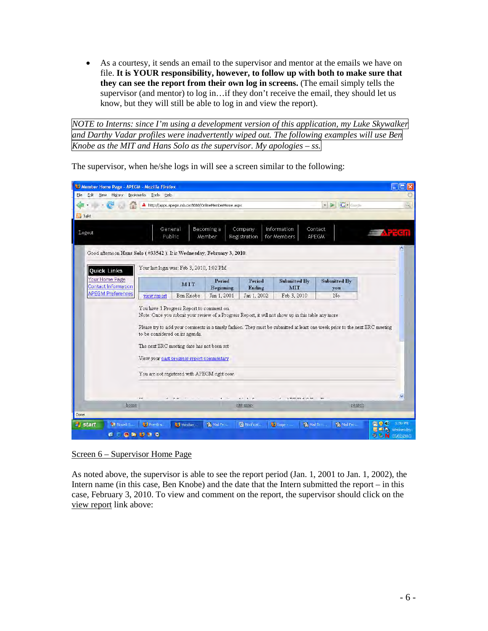• As a courtesy, it sends an email to the supervisor and mentor at the emails we have on file. **It is YOUR responsibility, however, to follow up with both to make sure that they can see the report from their own log in screens.** (The email simply tells the supervisor (and mentor) to log in…if they don't receive the email, they should let us know, but they will still be able to log in and view the report).

*NOTE to Interns: since I'm using a development version of this application, my Luke Skywalker and Darthy Vadar profiles were inadvertently wiped out. The following examples will use Ben Knobe as the MIT and Hans Solo as the supervisor. My apologies – ss.* 

| Member Home Page - APEGM - Mozilla Firefox                            |                                                    |                                                                                         |                      |                         |                                                                                                     |                           |                                                                                                                             |                                                                                  | о            |
|-----------------------------------------------------------------------|----------------------------------------------------|-----------------------------------------------------------------------------------------|----------------------|-------------------------|-----------------------------------------------------------------------------------------------------|---------------------------|-----------------------------------------------------------------------------------------------------------------------------|----------------------------------------------------------------------------------|--------------|
| File<br>Edit.<br>View<br>History                                      | <b>Bookmarks</b><br>Tools Help                     |                                                                                         |                      |                         |                                                                                                     |                           |                                                                                                                             |                                                                                  |              |
|                                                                       | Δ                                                  | http://apps.apegm.mb.ca:8080/OnlineMemberHome.aspx                                      |                      |                         |                                                                                                     |                           | $ G $ - Google<br>$\rightarrow$<br>$\mathbf{F}$                                                                             |                                                                                  | $\mathbb{Q}$ |
| <b>Talk!</b>                                                          |                                                    |                                                                                         |                      |                         |                                                                                                     |                           |                                                                                                                             |                                                                                  |              |
| Logout                                                                | General<br>Public                                  |                                                                                         | Becoming a<br>Member | Company<br>Registration | Information<br>for Members                                                                          | Contact<br><b>APEGM</b>   |                                                                                                                             | <b>Trash</b>                                                                     |              |
| Good afternoon Hans Solo (#33542). It is Wednesday, February 3, 2010. |                                                    |                                                                                         |                      |                         |                                                                                                     |                           |                                                                                                                             |                                                                                  |              |
| <b>Quick Links</b>                                                    |                                                    | Your last login was: Feb 3, 2010, 1:02 PM                                               |                      |                         |                                                                                                     |                           |                                                                                                                             |                                                                                  |              |
| Your Home Page<br><b>Contact Information</b>                          |                                                    | MIT                                                                                     | Period<br>Beginning  | Period<br>Ending        | <b>Submitted By</b><br>MIT                                                                          |                           | Submitted By<br>you                                                                                                         |                                                                                  |              |
| <b>APEGM Preferences</b>                                              | view report                                        | Ben Knobe                                                                               | Jan 1, 2001          | Jan 1, 2002             | Feb 3, 2010                                                                                         |                           | No                                                                                                                          |                                                                                  |              |
|                                                                       | to be considered on its agenda.                    | The next ERC meeting date has not been set<br>View your past progress report commentary |                      |                         | Note: Once you submit your review of a Progress Report, it will not show up in this table any more. |                           | Please try to add your comments in a timely fashion. They must be submitted at least one week prior to the next ERC meeting |                                                                                  |              |
|                                                                       |                                                    | You are not registered with APEGM right now.                                            |                      |                         |                                                                                                     |                           |                                                                                                                             |                                                                                  |              |
|                                                                       | $\overline{\mathbf{r}}$                            | $-4 - 10 - 44$                                                                          | $4 - 14$             | $x - x - n$             |                                                                                                     | <b>ATVELOR &amp; CLOS</b> |                                                                                                                             |                                                                                  |              |
| home                                                                  |                                                    |                                                                                         |                      | site map                |                                                                                                     |                           | search                                                                                                                      |                                                                                  |              |
| Done                                                                  |                                                    |                                                                                         |                      |                         |                                                                                                     |                           |                                                                                                                             |                                                                                  |              |
| <b>M</b> Novel G<br><b>Start</b><br>爵                                 | <sup>5</sup> Pre-Gra<br><b><i><b>B</b>BBBB</i></b> | <sup>13</sup> Member                                                                    | B Mail Fro           | We Notificat            | Login -                                                                                             | B Mail To:                | 是 Mail Fro                                                                                                                  | $-0.0$<br>$1,09$ PM<br><b>県白い</b> Wednesday<br>$9.6$ N $\alpha$ s/ $\alpha$ 2010 |              |

The supervisor, when he/she logs in will see a screen similar to the following:

Screen 6 – Supervisor Home Page

As noted above, the supervisor is able to see the report period (Jan. 1, 2001 to Jan. 1, 2002), the Intern name (in this case, Ben Knobe) and the date that the Intern submitted the report – in this case, February 3, 2010. To view and comment on the report, the supervisor should click on the view report link above: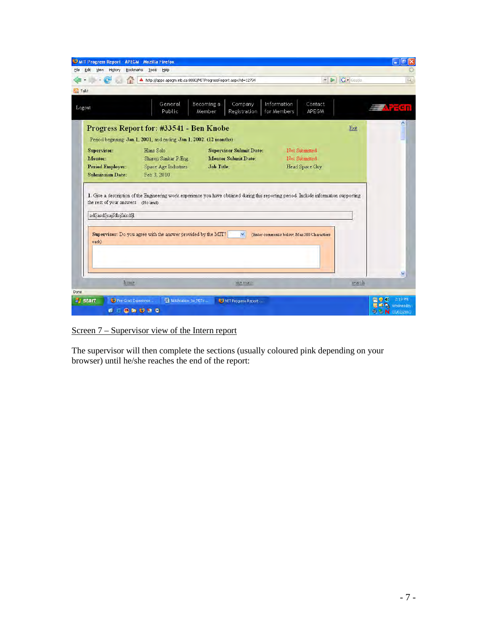| MIT Progress Report - APEGM - Mozilla Firefox<br>Edit<br>View<br>History<br>File.   | Bookmarks Tools<br>Help                                                                                                                         |                                                                                   |                                                                                                                                         |                 | $ \sigma$                                         |
|-------------------------------------------------------------------------------------|-------------------------------------------------------------------------------------------------------------------------------------------------|-----------------------------------------------------------------------------------|-----------------------------------------------------------------------------------------------------------------------------------------|-----------------|---------------------------------------------------|
|                                                                                     |                                                                                                                                                 | http://apps.apegm.mb.ca:8080/MITProgressReport.aspx?id=12794                      | D.<br>m.                                                                                                                                | <b>G</b> Google | щ.                                                |
| <b>A</b> Talk!                                                                      |                                                                                                                                                 |                                                                                   |                                                                                                                                         |                 |                                                   |
| Logout                                                                              | General<br>Public                                                                                                                               | Becoming a<br>Company<br>Registration<br>Member                                   | Information<br>Contact<br>for Members<br>APEGM                                                                                          |                 | <b>ATES D</b>                                     |
|                                                                                     | Progress Report for: #33541 - Ben Knobe                                                                                                         |                                                                                   |                                                                                                                                         | Exit            |                                                   |
| Supervisor:<br><b>Mentor:</b><br><b>Period Employer:</b><br><b>Submission Date:</b> | Period beginning: Jan 1, 2001, and ending: Jan 1, 2002. (12 months)<br>Hans Solo<br>Sharon Sankar P.Eng.<br>Space Age Industries<br>Feb 3, 2010 | <b>Supervisor Submit Date:</b><br><b>Mentor Submit Date:</b><br><b>Job Title:</b> | Not Submitted<br>Not Submitted<br>Head Space Guy                                                                                        |                 |                                                   |
| the rest of your answers. (No limit)<br>adfjasdfjsajfdlsjfalsdfjl                   |                                                                                                                                                 |                                                                                   | 1. Give a description of the Engineering work experience you have obtained during this reporting period. Include information supporting |                 |                                                   |
| each)                                                                               | Supervisor: Do you agree with the answer provided by the MIT?                                                                                   | $\mathbf{v}$                                                                      | (Enter comments below, Max 500 Characters)                                                                                              |                 | M                                                 |
| home                                                                                |                                                                                                                                                 | site map                                                                          |                                                                                                                                         | search          |                                                   |
| Done<br><b>Start</b><br>Pre-Grad Experience<br><b>BEORUMO</b>                       | Mi Notification to MITs                                                                                                                         | <b>B</b> MIT Progress Report                                                      |                                                                                                                                         | W.              | 2:19 PM<br>Wednesday<br><b>2. 6. N</b> 03/02/2010 |

Screen 7 – Supervisor view of the Intern report

The supervisor will then complete the sections (usually coloured pink depending on your browser) until he/she reaches the end of the report: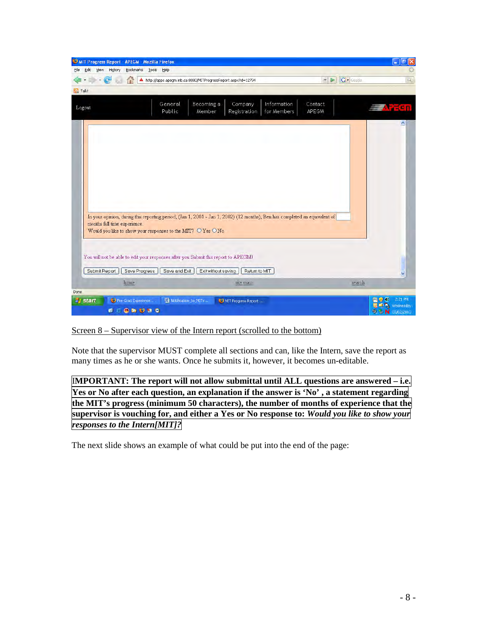| MIT Progress Report - APEGM - Mozilla Firefox<br>Edit<br>File<br>View<br>History | Bookmarks<br><b>Tools</b><br>Help                                              |                                                                                                                            |                                                |                                                          | 同<br>L.                    |
|----------------------------------------------------------------------------------|--------------------------------------------------------------------------------|----------------------------------------------------------------------------------------------------------------------------|------------------------------------------------|----------------------------------------------------------|----------------------------|
| a                                                                                |                                                                                | http://apps.apegm.mb.ca:8080/MITProgressReport.aspx?id=12794                                                               |                                                | <b>C</b> Google<br>$\overline{\tau}$<br>$\triangleright$ | $\mathbb{Q}_n$             |
| <b>SL</b> Talk!                                                                  |                                                                                |                                                                                                                            |                                                |                                                          |                            |
| Logout                                                                           | General<br><b>Public</b>                                                       | Becoming a<br>Company<br>Member<br>Registration                                                                            | Information<br>Contact<br>for Members<br>APEGM |                                                          | <b>Trash</b>               |
|                                                                                  |                                                                                |                                                                                                                            |                                                |                                                          |                            |
|                                                                                  |                                                                                |                                                                                                                            |                                                |                                                          |                            |
|                                                                                  |                                                                                |                                                                                                                            |                                                |                                                          |                            |
| months full time experience.                                                     |                                                                                | In your opinion, during this reporting period, (Jan 1, 2001 - Jan 1, 2002) (12 months), Ben has completed an equivalent of |                                                |                                                          |                            |
|                                                                                  | Would you like to show your responses to the MIT? $\bigcirc$ Yes $\bigcirc$ No |                                                                                                                            |                                                |                                                          |                            |
|                                                                                  |                                                                                | You will not be able to edit your responses after you Submit this report to APEGM!                                         |                                                |                                                          |                            |
| Submit Report                                                                    | Save Progress<br>Save and Exit                                                 | Exit without saving<br>Return to MIT                                                                                       |                                                |                                                          | ₩                          |
| home                                                                             |                                                                                | site map                                                                                                                   |                                                | search                                                   |                            |
| <b>Done</b>                                                                      |                                                                                |                                                                                                                            |                                                |                                                          |                            |
| <b>i</b> start                                                                   | Pre-Grad Experience                                                            | <b>Will Notification_to_MITs</b><br>MIT Progress Report                                                                    |                                                |                                                          | 2:21 PM<br>Wednesday<br>W. |
|                                                                                  | $\mathbf{C} = \mathbf{O} \mathbf{A} \mathbf{U} \mathbf{A} \mathbf{C}$          |                                                                                                                            |                                                |                                                          | $9.5 N$ 03/02/2010         |

Screen 8 – Supervisor view of the Intern report (scrolled to the bottom)

Note that the supervisor MUST complete all sections and can, like the Intern, save the report as many times as he or she wants. Once he submits it, however, it becomes un-editable.

I**MPORTANT: The report will not allow submittal until ALL questions are answered – i.e. Yes or No after each question, an explanation if the answer is 'No' , a statement regarding the MIT's progress (minimum 50 characters), the number of months of experience that the supervisor is vouching for, and either a Yes or No response to:** *Would you like to show your responses to the Intern[MIT]?*

The next slide shows an example of what could be put into the end of the page: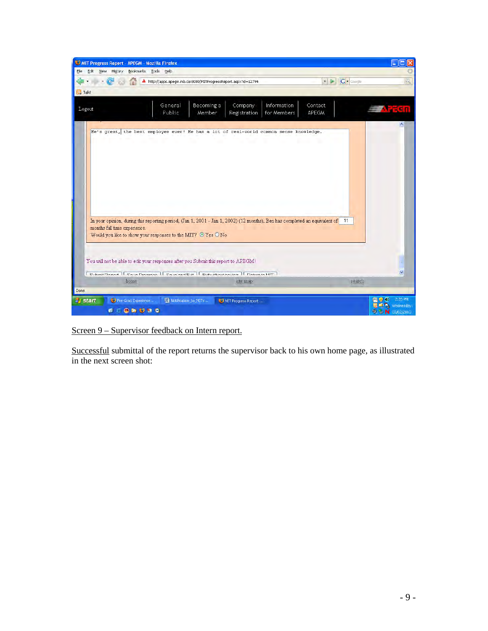| <b>U MIT Progress Report - APEGM - Mozilla Firefox</b><br>File Edit View<br>History<br>Bookmarks                       | Tools Help                                                                         |                                                                                                                                                                                                                         |                                      |                                                                     |
|------------------------------------------------------------------------------------------------------------------------|------------------------------------------------------------------------------------|-------------------------------------------------------------------------------------------------------------------------------------------------------------------------------------------------------------------------|--------------------------------------|---------------------------------------------------------------------|
|                                                                                                                        | http://apps.apegm.mb.ca:8080/MITProgressReport.aspx?id=12794                       |                                                                                                                                                                                                                         | <b>IC-</b> Google<br>$\mathbf{r}$ is | Q,                                                                  |
| <b>Bu</b> Talk!                                                                                                        |                                                                                    |                                                                                                                                                                                                                         |                                      |                                                                     |
| Logout                                                                                                                 | Becoming a<br>General<br>Public<br>Member                                          | Information<br>Company<br>for Members<br>Registration                                                                                                                                                                   | Contact<br>APEGM                     | <b>Aracn</b>                                                        |
| months full time experience.                                                                                           | Would you like to show your responses to the MIT? $\odot$ Yes $\odot$ No           | He's great, the best employee ever! He has a lot of real-world common sense knowledge.<br>In your opinion, during this reporting period, (Jan 1, 2001 - Jan 1, 2002) (12 months), Ben has completed an equivalent of 11 |                                      |                                                                     |
|                                                                                                                        | You will not be able to edit your responses after you Submit this report to APEGM! | Cubinit Donort   Coun Diographic   Coun and Evit   Evitable of the   Donort NIT                                                                                                                                         |                                      |                                                                     |
| home                                                                                                                   |                                                                                    | site map                                                                                                                                                                                                                | search                               |                                                                     |
| Done                                                                                                                   |                                                                                    |                                                                                                                                                                                                                         |                                      |                                                                     |
| <b><i>Fi</i></b> start<br>Pre-Grad Experience<br>$\mathbf{B} = \mathbf{0} \mathbf{h} \mathbf{B} \mathbf{h} \mathbf{0}$ | M Notification_to_MITs                                                             | MIT Progress Report                                                                                                                                                                                                     |                                      | 2:28 PM<br>Wednesday<br>$\mathcal{N}$<br><b>D. C. N.</b> 03/02/2010 |

Screen 9 – Supervisor feedback on Intern report.

Successful submittal of the report returns the supervisor back to his own home page, as illustrated in the next screen shot: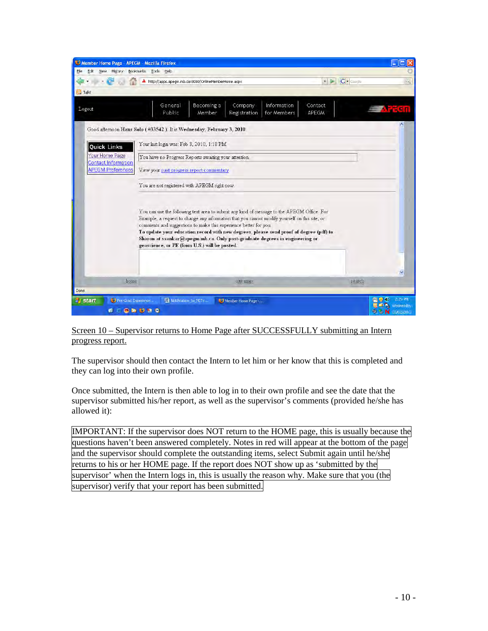

Screen 10 – Supervisor returns to Home Page after SUCCESSFULLY submitting an Intern progress report.

The supervisor should then contact the Intern to let him or her know that this is completed and they can log into their own profile.

Once submitted, the Intern is then able to log in to their own profile and see the date that the supervisor submitted his/her report, as well as the supervisor's comments (provided he/she has allowed it):

IMPORTANT: If the supervisor does NOT return to the HOME page, this is usually because the questions haven't been answered completely. Notes in red will appear at the bottom of the page and the supervisor should complete the outstanding items, select Submit again until he/she returns to his or her HOME page. If the report does NOT show up as 'submitted by the supervisor' when the Intern logs in, this is usually the reason why. Make sure that you (the supervisor) verify that your report has been submitted.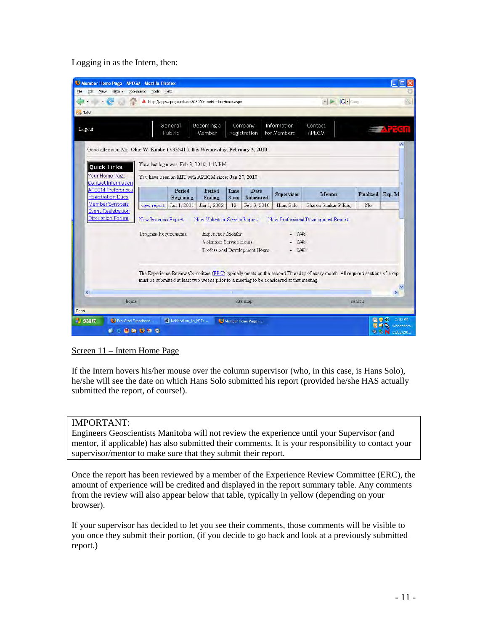Logging in as the Intern, then:

| History                                                                       | Bookmarks Tools Help                                |                     |                                                                              |                     |                                |                                                                                           |                                                                                                                             |                 |             |
|-------------------------------------------------------------------------------|-----------------------------------------------------|---------------------|------------------------------------------------------------------------------|---------------------|--------------------------------|-------------------------------------------------------------------------------------------|-----------------------------------------------------------------------------------------------------------------------------|-----------------|-------------|
|                                                                               |                                                     |                     | http://apps.apegm.mb.ca:8080/OnlineMemberHome.aspx                           |                     |                                |                                                                                           | $ G \cdot \text{Google} $<br>大阪                                                                                             |                 |             |
| <b>DA</b> Talk!                                                               |                                                     |                     |                                                                              |                     |                                |                                                                                           |                                                                                                                             |                 |             |
| Logout                                                                        |                                                     | General<br>Public   | Becoming a<br>Member                                                         |                     | Company<br>Registration        | Information<br>for Members                                                                | Contact<br><b>APEGM</b>                                                                                                     |                 | <b>重大式的</b> |
| Good afternoon Mr. Obie W. Knobe (#33541). It is Wednesday, February 3, 2010. |                                                     |                     |                                                                              |                     |                                |                                                                                           |                                                                                                                             |                 |             |
| <b>Quick Links</b>                                                            | Your last login was: Feb 3, 2010, 1:10 PM           |                     |                                                                              |                     |                                |                                                                                           |                                                                                                                             |                 |             |
| Your Home Page<br><b>Contact Information</b>                                  | You have been an MIT with APEGM since: Jan 27, 2010 |                     |                                                                              |                     |                                |                                                                                           |                                                                                                                             |                 |             |
| <b>APEGM Preferences</b><br><b>Registration Dues</b>                          |                                                     | Period<br>Beginning | Period<br>Ending                                                             | Time<br><b>Span</b> | Date<br>Submitted              | <b>Supervisor</b>                                                                         | <b>Mentor</b>                                                                                                               | Finalized Exp M |             |
| Member Synopsis                                                               | view report                                         | Jan 1, 2001         | Jan 1, 2002                                                                  | 12                  | Feb 3, 2010                    | Hans Solo                                                                                 | Sharon Sankar P.Eng.                                                                                                        | No              |             |
| <b>Event Registration</b><br><b>Discussion Forum</b>                          | New Progress Report<br>Program Requirements:        |                     | New Volunteer Service Report<br>Experience Months<br>Volunteer Service Hours |                     | Professional Development Hours | 0/48<br>0/48<br>$-0/48$                                                                   | New Professional Development Report                                                                                         |                 |             |
|                                                                               |                                                     |                     |                                                                              |                     |                                | must be submitted at least two weeks prior to a meeting to be considered at that meeting. | The Experience Review Committee (ERC) typically meets on the second Thursday of every month. All required sections of a rep |                 |             |
|                                                                               |                                                     |                     |                                                                              |                     |                                |                                                                                           |                                                                                                                             | search          |             |
| home                                                                          |                                                     |                     |                                                                              |                     | site map                       |                                                                                           |                                                                                                                             |                 |             |

### Screen 11 – Intern Home Page

If the Intern hovers his/her mouse over the column supervisor (who, in this case, is Hans Solo), he/she will see the date on which Hans Solo submitted his report (provided he/she HAS actually submitted the report, of course!).

### IMPORTANT:

Engineers Geoscientists Manitoba will not review the experience until your Supervisor (and mentor, if applicable) has also submitted their comments. It is your responsibility to contact your supervisor/mentor to make sure that they submit their report.

Once the report has been reviewed by a member of the Experience Review Committee (ERC), the amount of experience will be credited and displayed in the report summary table. Any comments from the review will also appear below that table, typically in yellow (depending on your browser).

If your supervisor has decided to let you see their comments, those comments will be visible to you once they submit their portion, (if you decide to go back and look at a previously submitted report.)